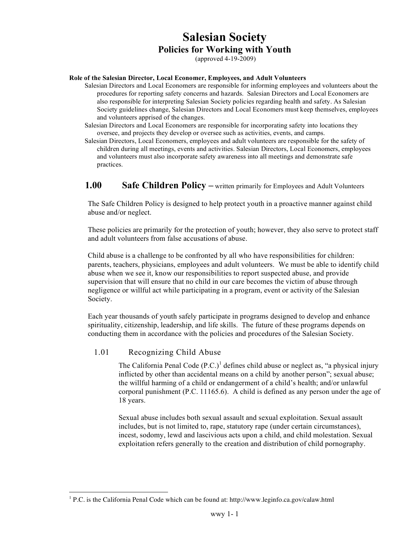## **Salesian Society Policies for Working with Youth**

(approved 4-19-2009)

#### **Role of the Salesian Director, Local Economer, Employees, and Adult Volunteers**

- Salesian Directors and Local Economers are responsible for informing employees and volunteers about the procedures for reporting safety concerns and hazards. Salesian Directors and Local Economers are also responsible for interpreting Salesian Society policies regarding health and safety. As Salesian Society guidelines change, Salesian Directors and Local Economers must keep themselves, employees and volunteers apprised of the changes.
- Salesian Directors and Local Economers are responsible for incorporating safety into locations they oversee, and projects they develop or oversee such as activities, events, and camps.
- Salesian Directors, Local Economers, employees and adult volunteers are responsible for the safety of children during all meetings, events and activities. Salesian Directors, Local Economers, employees and volunteers must also incorporate safety awareness into all meetings and demonstrate safe practices.

#### **1.00 Safe Children Policy** – written primarily for Employees and Adult Volunteers

The Safe Children Policy is designed to help protect youth in a proactive manner against child abuse and/or neglect.

These policies are primarily for the protection of youth; however, they also serve to protect staff and adult volunteers from false accusations of abuse.

Child abuse is a challenge to be confronted by all who have responsibilities for children: parents, teachers, physicians, employees and adult volunteers. We must be able to identify child abuse when we see it, know our responsibilities to report suspected abuse, and provide supervision that will ensure that no child in our care becomes the victim of abuse through negligence or willful act while participating in a program, event or activity of the Salesian Society.

Each year thousands of youth safely participate in programs designed to develop and enhance spirituality, citizenship, leadership, and life skills. The future of these programs depends on conducting them in accordance with the policies and procedures of the Salesian Society.

#### 1.01 Recognizing Child Abuse

l

The California Penal Code  $(P.C.)$ <sup>1</sup> defines child abuse or neglect as, "a physical injury inflicted by other than accidental means on a child by another person"; sexual abuse; the willful harming of a child or endangerment of a child's health; and/or unlawful corporal punishment (P.C. 11165.6). A child is defined as any person under the age of 18 years.

Sexual abuse includes both sexual assault and sexual exploitation. Sexual assault includes, but is not limited to, rape, statutory rape (under certain circumstances), incest, sodomy, lewd and lascivious acts upon a child, and child molestation. Sexual exploitation refers generally to the creation and distribution of child pornography.

<sup>&</sup>lt;sup>1</sup> P.C. is the California Penal Code which can be found at: http://www.leginfo.ca.gov/calaw.html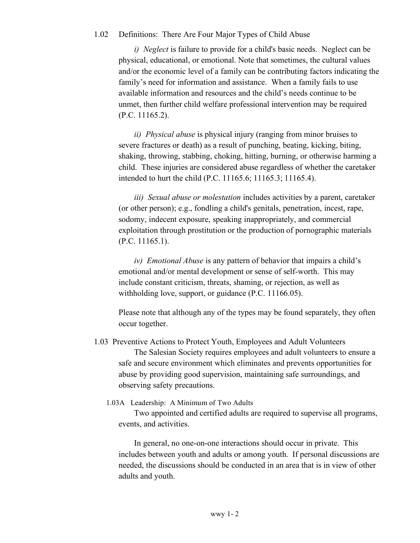#### 1.02 Definitions: There Are Four Major Types of Child Abuse

*i) Neglect* is failure to provide for a child's basic needs. Neglect can be physical, educational, or emotional. Note that sometimes, the cultural values and/or the economic level of a family can be contributing factors indicating the family's need for information and assistance. When a family fails to use available information and resources and the child's needs continue to be unmet, then further child welfare professional intervention may be required (P.C. 11165.2).

*ii) Physical abuse* is physical injury (ranging from minor bruises to severe fractures or death) as a result of punching, beating, kicking, biting, shaking, throwing, stabbing, choking, hitting, burning, or otherwise harming a child. These injuries are considered abuse regardless of whether the caretaker intended to hurt the child (P.C. 11165.6; 11165.3; 11165.4).

*iii) Sexual abuse or molestation* includes activities by a parent, caretaker (or other person); e.g., fondling a child's genitals, penetration, incest, rape, sodomy, indecent exposure, speaking inappropriately, and commercial exploitation through prostitution or the production of pornographic materials (P.C. 11165.1).

*iv) Emotional Abuse* is any pattern of behavior that impairs a child's emotional and/or mental development or sense of self-worth. This may include constant criticism, threats, shaming, or rejection, as well as withholding love, support, or guidance (P.C. 11166.05).

Please note that although any of the types may be found separately, they often occur together.

1.03 Preventive Actions to Protect Youth, Employees and Adult Volunteers The Salesian Society requires employees and adult volunteers to ensure a safe and secure environment which eliminates and prevents opportunities for abuse by providing good supervision, maintaining safe surroundings, and observing safety precautions.

#### 1.03A Leadership: A Minimum of Two Adults

Two appointed and certified adults are required to supervise all programs, events, and activities.

In general, no one-on-one interactions should occur in private. This includes between youth and adults or among youth. If personal discussions are needed, the discussions should be conducted in an area that is in view of other adults and youth.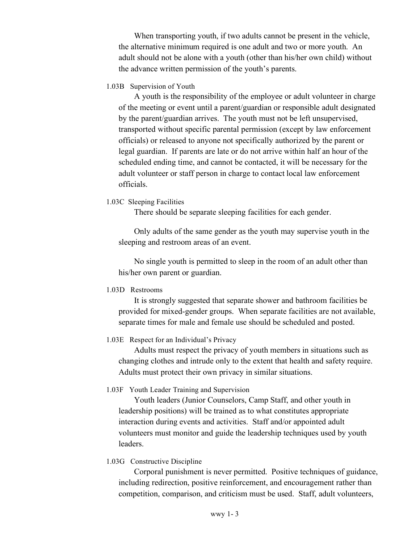When transporting youth, if two adults cannot be present in the vehicle, the alternative minimum required is one adult and two or more youth. An adult should not be alone with a youth (other than his/her own child) without the advance written permission of the youth's parents.

#### 1.03B Supervision of Youth

A youth is the responsibility of the employee or adult volunteer in charge of the meeting or event until a parent/guardian or responsible adult designated by the parent/guardian arrives. The youth must not be left unsupervised, transported without specific parental permission (except by law enforcement officials) or released to anyone not specifically authorized by the parent or legal guardian. If parents are late or do not arrive within half an hour of the scheduled ending time, and cannot be contacted, it will be necessary for the adult volunteer or staff person in charge to contact local law enforcement officials.

#### 1.03C Sleeping Facilities

There should be separate sleeping facilities for each gender.

Only adults of the same gender as the youth may supervise youth in the sleeping and restroom areas of an event.

No single youth is permitted to sleep in the room of an adult other than his/her own parent or guardian.

#### 1.03D Restrooms

It is strongly suggested that separate shower and bathroom facilities be provided for mixed-gender groups. When separate facilities are not available, separate times for male and female use should be scheduled and posted.

#### 1.03E Respect for an Individual's Privacy

Adults must respect the privacy of youth members in situations such as changing clothes and intrude only to the extent that health and safety require. Adults must protect their own privacy in similar situations.

#### 1.03F Youth Leader Training and Supervision

Youth leaders (Junior Counselors, Camp Staff, and other youth in leadership positions) will be trained as to what constitutes appropriate interaction during events and activities. Staff and/or appointed adult volunteers must monitor and guide the leadership techniques used by youth leaders.

#### 1.03G Constructive Discipline

Corporal punishment is never permitted. Positive techniques of guidance, including redirection, positive reinforcement, and encouragement rather than competition, comparison, and criticism must be used. Staff, adult volunteers,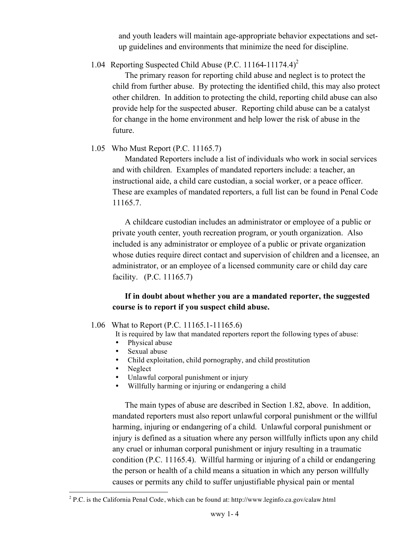and youth leaders will maintain age-appropriate behavior expectations and setup guidelines and environments that minimize the need for discipline.

#### 1.04 Reporting Suspected Child Abuse (P.C. 11164-11174.4)<sup>2</sup>

The primary reason for reporting child abuse and neglect is to protect the child from further abuse. By protecting the identified child, this may also protect other children. In addition to protecting the child, reporting child abuse can also provide help for the suspected abuser. Reporting child abuse can be a catalyst for change in the home environment and help lower the risk of abuse in the future.

#### 1.05 Who Must Report (P.C. 11165.7)

Mandated Reporters include a list of individuals who work in social services and with children. Examples of mandated reporters include: a teacher, an instructional aide, a child care custodian, a social worker, or a peace officer. These are examples of mandated reporters, a full list can be found in Penal Code 11165.7.

A childcare custodian includes an administrator or employee of a public or private youth center, youth recreation program, or youth organization. Also included is any administrator or employee of a public or private organization whose duties require direct contact and supervision of children and a licensee, an administrator, or an employee of a licensed community care or child day care facility. (P.C. 11165.7)

#### **If in doubt about whether you are a mandated reporter, the suggested course is to report if you suspect child abuse.**

#### 1.06 What to Report (P.C. 11165.1-11165.6)

It is required by law that mandated reporters report the following types of abuse:

- Physical abuse
- Sexual abuse
- Child exploitation, child pornography, and child prostitution
- Neglect

l

- Unlawful corporal punishment or injury
- Willfully harming or injuring or endangering a child

The main types of abuse are described in Section 1.82, above. In addition, mandated reporters must also report unlawful corporal punishment or the willful harming, injuring or endangering of a child. Unlawful corporal punishment or injury is defined as a situation where any person willfully inflicts upon any child any cruel or inhuman corporal punishment or injury resulting in a traumatic condition (P.C. 11165.4). Willful harming or injuring of a child or endangering the person or health of a child means a situation in which any person willfully causes or permits any child to suffer unjustifiable physical pain or mental

 $2^2$  P.C. is the California Penal Code, which can be found at: http://www.leginfo.ca.gov/calaw.html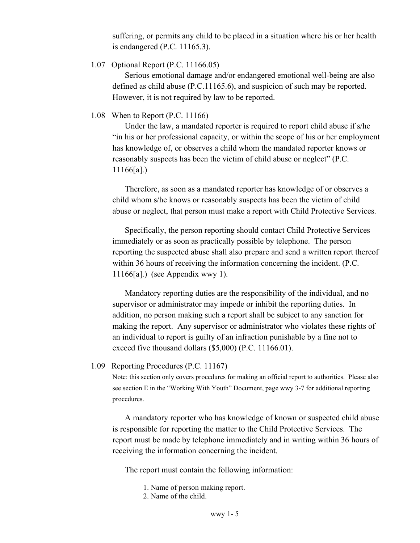suffering, or permits any child to be placed in a situation where his or her health is endangered (P.C. 11165.3).

#### 1.07 Optional Report (P.C. 11166.05)

Serious emotional damage and/or endangered emotional well-being are also defined as child abuse (P.C.11165.6), and suspicion of such may be reported. However, it is not required by law to be reported.

#### 1.08 When to Report (P.C. 11166)

Under the law, a mandated reporter is required to report child abuse if s/he "in his or her professional capacity, or within the scope of his or her employment has knowledge of, or observes a child whom the mandated reporter knows or reasonably suspects has been the victim of child abuse or neglect" (P.C. 11166[a].)

Therefore, as soon as a mandated reporter has knowledge of or observes a child whom s/he knows or reasonably suspects has been the victim of child abuse or neglect, that person must make a report with Child Protective Services.

Specifically, the person reporting should contact Child Protective Services immediately or as soon as practically possible by telephone. The person reporting the suspected abuse shall also prepare and send a written report thereof within 36 hours of receiving the information concerning the incident. (P.C. 11166[a].) (see Appendix wwy 1).

Mandatory reporting duties are the responsibility of the individual, and no supervisor or administrator may impede or inhibit the reporting duties. In addition, no person making such a report shall be subject to any sanction for making the report. Any supervisor or administrator who violates these rights of an individual to report is guilty of an infraction punishable by a fine not to exceed five thousand dollars (\$5,000) (P.C. 11166.01).

#### 1.09 Reporting Procedures (P.C. 11167)

Note: this section only covers procedures for making an official report to authorities. Please also see section E in the "Working With Youth" Document, page wwy 3-7 for additional reporting procedures.

A mandatory reporter who has knowledge of known or suspected child abuse is responsible for reporting the matter to the Child Protective Services. The report must be made by telephone immediately and in writing within 36 hours of receiving the information concerning the incident.

The report must contain the following information:

- 1. Name of person making report.
- 2. Name of the child.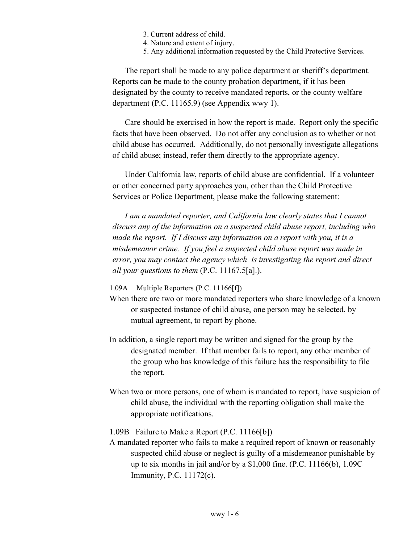- 3. Current address of child.
- 4. Nature and extent of injury.
- 5. Any additional information requested by the Child Protective Services.

The report shall be made to any police department or sheriff's department. Reports can be made to the county probation department, if it has been designated by the county to receive mandated reports, or the county welfare department (P.C. 11165.9) (see Appendix wwy 1).

Care should be exercised in how the report is made. Report only the specific facts that have been observed. Do not offer any conclusion as to whether or not child abuse has occurred. Additionally, do not personally investigate allegations of child abuse; instead, refer them directly to the appropriate agency.

Under California law, reports of child abuse are confidential. If a volunteer or other concerned party approaches you, other than the Child Protective Services or Police Department, please make the following statement:

*I am a mandated reporter, and California law clearly states that I cannot discuss any of the information on a suspected child abuse report, including who made the report. If I discuss any information on a report with you, it is a misdemeanor crime. If you feel a suspected child abuse report was made in error, you may contact the agency which is investigating the report and direct all your questions to them* (P.C. 11167.5[a].).

1.09A Multiple Reporters (P.C. 11166[f])

- When there are two or more mandated reporters who share knowledge of a known or suspected instance of child abuse, one person may be selected, by mutual agreement, to report by phone.
- In addition, a single report may be written and signed for the group by the designated member. If that member fails to report, any other member of the group who has knowledge of this failure has the responsibility to file the report.
- When two or more persons, one of whom is mandated to report, have suspicion of child abuse, the individual with the reporting obligation shall make the appropriate notifications.

1.09B Failure to Make a Report (P.C. 11166[b])

A mandated reporter who fails to make a required report of known or reasonably suspected child abuse or neglect is guilty of a misdemeanor punishable by up to six months in jail and/or by a \$1,000 fine. (P.C. 11166(b), 1.09C Immunity, P.C. 11172(c).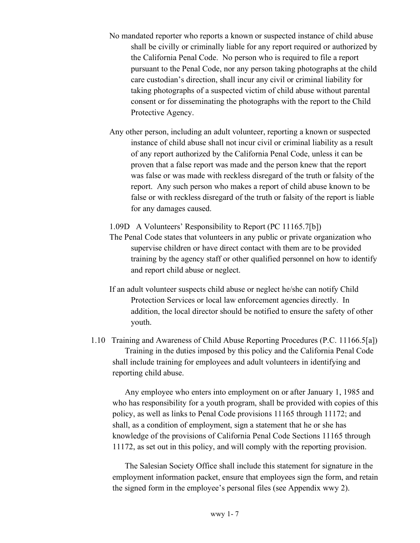- No mandated reporter who reports a known or suspected instance of child abuse shall be civilly or criminally liable for any report required or authorized by the California Penal Code. No person who is required to file a report pursuant to the Penal Code, nor any person taking photographs at the child care custodian's direction, shall incur any civil or criminal liability for taking photographs of a suspected victim of child abuse without parental consent or for disseminating the photographs with the report to the Child Protective Agency.
- Any other person, including an adult volunteer, reporting a known or suspected instance of child abuse shall not incur civil or criminal liability as a result of any report authorized by the California Penal Code, unless it can be proven that a false report was made and the person knew that the report was false or was made with reckless disregard of the truth or falsity of the report. Any such person who makes a report of child abuse known to be false or with reckless disregard of the truth or falsity of the report is liable for any damages caused.

1.09D A Volunteers' Responsibility to Report (PC 11165.7[b])

- The Penal Code states that volunteers in any public or private organization who supervise children or have direct contact with them are to be provided training by the agency staff or other qualified personnel on how to identify and report child abuse or neglect.
- If an adult volunteer suspects child abuse or neglect he/she can notify Child Protection Services or local law enforcement agencies directly. In addition, the local director should be notified to ensure the safety of other youth.
- 1.10 Training and Awareness of Child Abuse Reporting Procedures (P.C. 11166.5[a]) Training in the duties imposed by this policy and the California Penal Code shall include training for employees and adult volunteers in identifying and reporting child abuse.

Any employee who enters into employment on or after January 1, 1985 and who has responsibility for a youth program, shall be provided with copies of this policy, as well as links to Penal Code provisions 11165 through 11172; and shall, as a condition of employment, sign a statement that he or she has knowledge of the provisions of California Penal Code Sections 11165 through 11172, as set out in this policy, and will comply with the reporting provision.

The Salesian Society Office shall include this statement for signature in the employment information packet, ensure that employees sign the form, and retain the signed form in the employee's personal files (see Appendix wwy 2).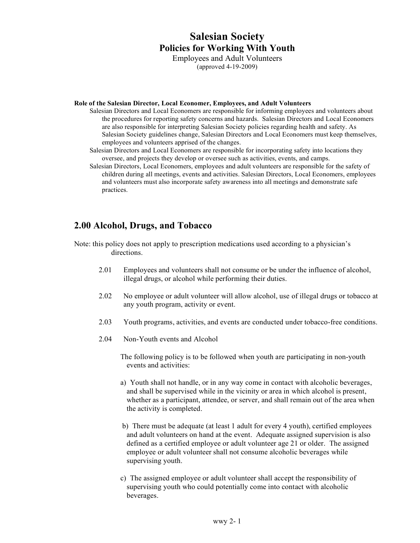### **Salesian Society Policies for Working With Youth**

Employees and Adult Volunteers (approved 4-19-2009)

#### **Role of the Salesian Director, Local Economer, Employees, and Adult Volunteers**

- Salesian Directors and Local Economers are responsible for informing employees and volunteers about the procedures for reporting safety concerns and hazards. Salesian Directors and Local Economers are also responsible for interpreting Salesian Society policies regarding health and safety. As Salesian Society guidelines change, Salesian Directors and Local Economers must keep themselves, employees and volunteers apprised of the changes.
- Salesian Directors and Local Economers are responsible for incorporating safety into locations they oversee, and projects they develop or oversee such as activities, events, and camps.
- Salesian Directors, Local Economers, employees and adult volunteers are responsible for the safety of children during all meetings, events and activities. Salesian Directors, Local Economers, employees and volunteers must also incorporate safety awareness into all meetings and demonstrate safe practices.

#### **2.00 Alcohol, Drugs, and Tobacco**

Note: this policy does not apply to prescription medications used according to a physician's directions.

- 2.01 Employees and volunteers shall not consume or be under the influence of alcohol, illegal drugs, or alcohol while performing their duties.
- 2.02 No employee or adult volunteer will allow alcohol, use of illegal drugs or tobacco at any youth program, activity or event.
- 2.03 Youth programs, activities, and events are conducted under tobacco-free conditions.
- 2.04 Non-Youth events and Alcohol

The following policy is to be followed when youth are participating in non-youth events and activities:

- a) Youth shall not handle, or in any way come in contact with alcoholic beverages, and shall be supervised while in the vicinity or area in which alcohol is present, whether as a participant, attendee, or server, and shall remain out of the area when the activity is completed.
- b) There must be adequate (at least 1 adult for every 4 youth), certified employees and adult volunteers on hand at the event. Adequate assigned supervision is also defined as a certified employee or adult volunteer age 21 or older. The assigned employee or adult volunteer shall not consume alcoholic beverages while supervising youth.
- c) The assigned employee or adult volunteer shall accept the responsibility of supervising youth who could potentially come into contact with alcoholic beverages.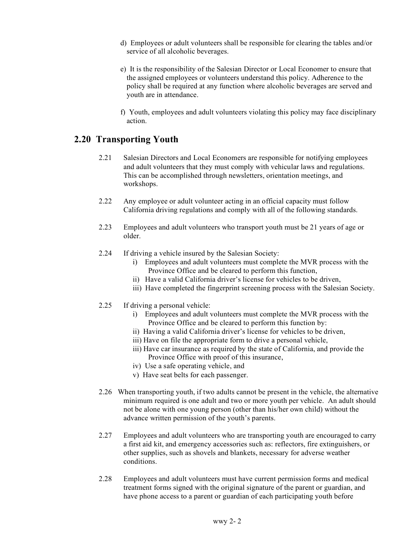- d) Employees or adult volunteers shall be responsible for clearing the tables and/or service of all alcoholic beverages.
- e) It is the responsibility of the Salesian Director or Local Economer to ensure that the assigned employees or volunteers understand this policy. Adherence to the policy shall be required at any function where alcoholic beverages are served and youth are in attendance.
- f) Youth, employees and adult volunteers violating this policy may face disciplinary action.

#### **2.20 Transporting Youth**

- 2.21 Salesian Directors and Local Economers are responsible for notifying employees and adult volunteers that they must comply with vehicular laws and regulations. This can be accomplished through newsletters, orientation meetings, and workshops.
- 2.22 Any employee or adult volunteer acting in an official capacity must follow California driving regulations and comply with all of the following standards.
- 2.23 Employees and adult volunteers who transport youth must be 21 years of age or older.
- 2.24 If driving a vehicle insured by the Salesian Society:
	- i) Employees and adult volunteers must complete the MVR process with the Province Office and be cleared to perform this function,
	- ii) Have a valid California driver's license for vehicles to be driven,
	- iii) Have completed the fingerprint screening process with the Salesian Society.
- 2.25 If driving a personal vehicle:
	- i) Employees and adult volunteers must complete the MVR process with the Province Office and be cleared to perform this function by:
	- ii) Having a valid California driver's license for vehicles to be driven,
	- iii) Have on file the appropriate form to drive a personal vehicle,
	- iii) Have car insurance as required by the state of California, and provide the Province Office with proof of this insurance,
	- iv) Use a safe operating vehicle, and
	- v) Have seat belts for each passenger.
- 2.26 When transporting youth, if two adults cannot be present in the vehicle, the alternative minimum required is one adult and two or more youth per vehicle. An adult should not be alone with one young person (other than his/her own child) without the advance written permission of the youth's parents.
- 2.27 Employees and adult volunteers who are transporting youth are encouraged to carry a first aid kit, and emergency accessories such as: reflectors, fire extinguishers, or other supplies, such as shovels and blankets, necessary for adverse weather conditions.
- 2.28 Employees and adult volunteers must have current permission forms and medical treatment forms signed with the original signature of the parent or guardian, and have phone access to a parent or guardian of each participating youth before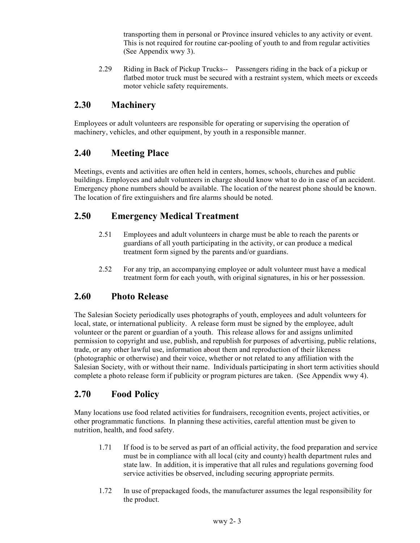transporting them in personal or Province insured vehicles to any activity or event. This is not required for routine car-pooling of youth to and from regular activities (See Appendix wwy 3).

2.29 Riding in Back of Pickup Trucks-- Passengers riding in the back of a pickup or flatbed motor truck must be secured with a restraint system, which meets or exceeds motor vehicle safety requirements.

#### **2.30 Machinery**

Employees or adult volunteers are responsible for operating or supervising the operation of machinery, vehicles, and other equipment, by youth in a responsible manner.

#### **2.40 Meeting Place**

Meetings, events and activities are often held in centers, homes, schools, churches and public buildings. Employees and adult volunteers in charge should know what to do in case of an accident. Emergency phone numbers should be available. The location of the nearest phone should be known. The location of fire extinguishers and fire alarms should be noted.

#### **2.50 Emergency Medical Treatment**

- 2.51 Employees and adult volunteers in charge must be able to reach the parents or guardians of all youth participating in the activity, or can produce a medical treatment form signed by the parents and/or guardians.
- 2.52 For any trip, an accompanying employee or adult volunteer must have a medical treatment form for each youth, with original signatures, in his or her possession.

#### **2.60 Photo Release**

The Salesian Society periodically uses photographs of youth, employees and adult volunteers for local, state, or international publicity. A release form must be signed by the employee, adult volunteer or the parent or guardian of a youth. This release allows for and assigns unlimited permission to copyright and use, publish, and republish for purposes of advertising, public relations, trade, or any other lawful use, information about them and reproduction of their likeness (photographic or otherwise) and their voice, whether or not related to any affiliation with the Salesian Society, with or without their name. Individuals participating in short term activities should complete a photo release form if publicity or program pictures are taken. (See Appendix wwy 4).

#### **2.70 Food Policy**

Many locations use food related activities for fundraisers, recognition events, project activities, or other programmatic functions. In planning these activities, careful attention must be given to nutrition, health, and food safety.

- 1.71 If food is to be served as part of an official activity, the food preparation and service must be in compliance with all local (city and county) health department rules and state law. In addition, it is imperative that all rules and regulations governing food service activities be observed, including securing appropriate permits.
- 1.72 In use of prepackaged foods, the manufacturer assumes the legal responsibility for the product.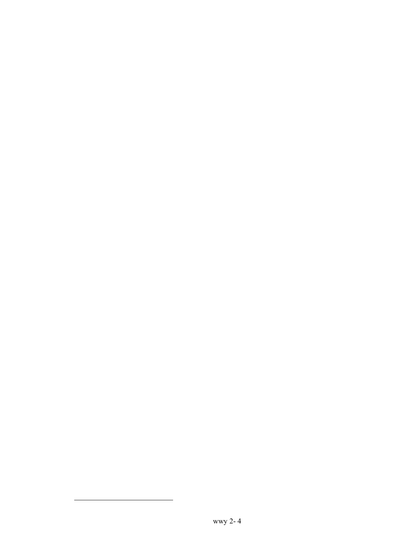l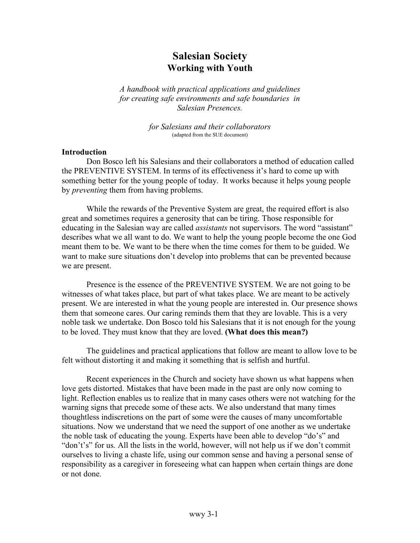#### **Salesian Society Working with Youth**

*A handbook with practical applications and guidelines for creating safe environments and safe boundaries in Salesian Presences.*

> *for Salesians and their collaborators* (adapted from the SUE document)

#### **Introduction**

Don Bosco left his Salesians and their collaborators a method of education called the PREVENTIVE SYSTEM. In terms of its effectiveness it's hard to come up with something better for the young people of today. It works because it helps young people by *preventing* them from having problems.

While the rewards of the Preventive System are great, the required effort is also great and sometimes requires a generosity that can be tiring. Those responsible for educating in the Salesian way are called *assistants* not supervisors. The word "assistant" describes what we all want to do. We want to help the young people become the one God meant them to be. We want to be there when the time comes for them to be guided. We want to make sure situations don't develop into problems that can be prevented because we are present.

Presence is the essence of the PREVENTIVE SYSTEM. We are not going to be witnesses of what takes place, but part of what takes place. We are meant to be actively present. We are interested in what the young people are interested in. Our presence shows them that someone cares. Our caring reminds them that they are lovable. This is a very noble task we undertake. Don Bosco told his Salesians that it is not enough for the young to be loved. They must know that they are loved. **(What does this mean?)**

The guidelines and practical applications that follow are meant to allow love to be felt without distorting it and making it something that is selfish and hurtful.

Recent experiences in the Church and society have shown us what happens when love gets distorted. Mistakes that have been made in the past are only now coming to light. Reflection enables us to realize that in many cases others were not watching for the warning signs that precede some of these acts. We also understand that many times thoughtless indiscretions on the part of some were the causes of many uncomfortable situations. Now we understand that we need the support of one another as we undertake the noble task of educating the young. Experts have been able to develop "do's" and "don't's" for us. All the lists in the world, however, will not help us if we don't commit ourselves to living a chaste life, using our common sense and having a personal sense of responsibility as a caregiver in foreseeing what can happen when certain things are done or not done.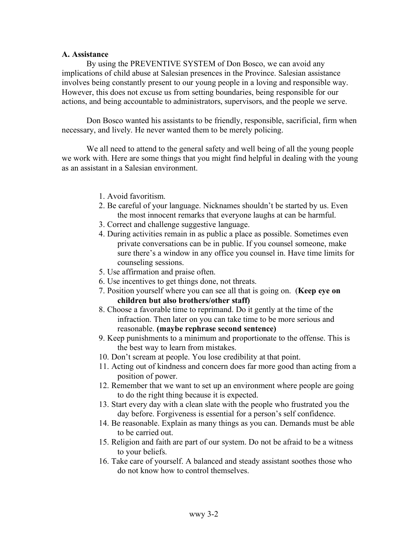#### **A. Assistance**

By using the PREVENTIVE SYSTEM of Don Bosco, we can avoid any implications of child abuse at Salesian presences in the Province. Salesian assistance involves being constantly present to our young people in a loving and responsible way. However, this does not excuse us from setting boundaries, being responsible for our actions, and being accountable to administrators, supervisors, and the people we serve.

Don Bosco wanted his assistants to be friendly, responsible, sacrificial, firm when necessary, and lively. He never wanted them to be merely policing.

We all need to attend to the general safety and well being of all the young people we work with. Here are some things that you might find helpful in dealing with the young as an assistant in a Salesian environment.

- 1. Avoid favoritism.
- 2. Be careful of your language. Nicknames shouldn't be started by us. Even the most innocent remarks that everyone laughs at can be harmful.
- 3. Correct and challenge suggestive language.
- 4. During activities remain in as public a place as possible. Sometimes even private conversations can be in public. If you counsel someone, make sure there's a window in any office you counsel in. Have time limits for counseling sessions.
- 5. Use affirmation and praise often.
- 6. Use incentives to get things done, not threats.
- 7. Position yourself where you can see all that is going on. (**Keep eye on children but also brothers/other staff)**
- 8. Choose a favorable time to reprimand. Do it gently at the time of the infraction. Then later on you can take time to be more serious and reasonable. **(maybe rephrase second sentence)**
- 9. Keep punishments to a minimum and proportionate to the offense. This is the best way to learn from mistakes.
- 10. Don't scream at people. You lose credibility at that point.
- 11. Acting out of kindness and concern does far more good than acting from a position of power.
- 12. Remember that we want to set up an environment where people are going to do the right thing because it is expected.
- 13. Start every day with a clean slate with the people who frustrated you the day before. Forgiveness is essential for a person's self confidence.
- 14. Be reasonable. Explain as many things as you can. Demands must be able to be carried out.
- 15. Religion and faith are part of our system. Do not be afraid to be a witness to your beliefs.
- 16. Take care of yourself. A balanced and steady assistant soothes those who do not know how to control themselves.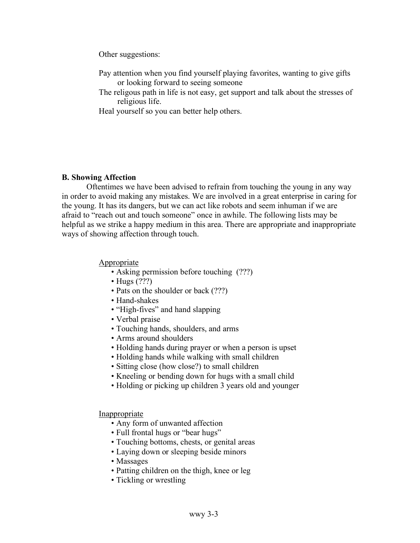Other suggestions:

- Pay attention when you find yourself playing favorites, wanting to give gifts or looking forward to seeing someone
- The religous path in life is not easy, get support and talk about the stresses of religious life.
- Heal yourself so you can better help others.

#### **B. Showing Affection**

Oftentimes we have been advised to refrain from touching the young in any way in order to avoid making any mistakes. We are involved in a great enterprise in caring for the young. It has its dangers, but we can act like robots and seem inhuman if we are afraid to "reach out and touch someone" once in awhile. The following lists may be helpful as we strike a happy medium in this area. There are appropriate and inappropriate ways of showing affection through touch.

#### **Appropriate**

- Asking permission before touching (???)
- Hugs  $(?)$ ?
- Pats on the shoulder or back (???)
- Hand-shakes
- "High-fives" and hand slapping
- Verbal praise
- Touching hands, shoulders, and arms
- Arms around shoulders
- Holding hands during prayer or when a person is upset
- Holding hands while walking with small children
- Sitting close (how close?) to small children
- Kneeling or bending down for hugs with a small child
- Holding or picking up children 3 years old and younger

#### Inappropriate

- Any form of unwanted affection
- Full frontal hugs or "bear hugs"
- Touching bottoms, chests, or genital areas
- Laying down or sleeping beside minors
- Massages
- Patting children on the thigh, knee or leg
- Tickling or wrestling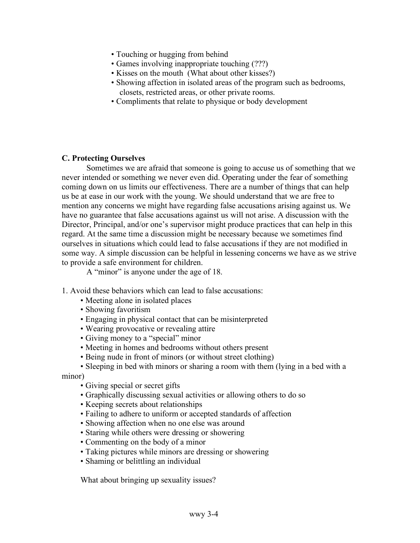- Touching or hugging from behind
- Games involving inappropriate touching (???)
- Kisses on the mouth (What about other kisses?)
- Showing affection in isolated areas of the program such as bedrooms, closets, restricted areas, or other private rooms.
- Compliments that relate to physique or body development

#### **C. Protecting Ourselves**

Sometimes we are afraid that someone is going to accuse us of something that we never intended or something we never even did. Operating under the fear of something coming down on us limits our effectiveness. There are a number of things that can help us be at ease in our work with the young. We should understand that we are free to mention any concerns we might have regarding false accusations arising against us. We have no guarantee that false accusations against us will not arise. A discussion with the Director, Principal, and/or one's supervisor might produce practices that can help in this regard. At the same time a discussion might be necessary because we sometimes find ourselves in situations which could lead to false accusations if they are not modified in some way. A simple discussion can be helpful in lessening concerns we have as we strive to provide a safe environment for children.

A "minor" is anyone under the age of 18.

- 1. Avoid these behaviors which can lead to false accusations:
	- Meeting alone in isolated places
	- Showing favoritism
	- Engaging in physical contact that can be misinterpreted
	- Wearing provocative or revealing attire
	- Giving money to a "special" minor
	- Meeting in homes and bedrooms without others present
	- Being nude in front of minors (or without street clothing)
- Sleeping in bed with minors or sharing a room with them (lying in a bed with a minor)
	- Giving special or secret gifts
	- Graphically discussing sexual activities or allowing others to do so
	- Keeping secrets about relationships
	- Failing to adhere to uniform or accepted standards of affection
	- Showing affection when no one else was around
	- Staring while others were dressing or showering
	- Commenting on the body of a minor
	- Taking pictures while minors are dressing or showering
	- Shaming or belittling an individual

What about bringing up sexuality issues?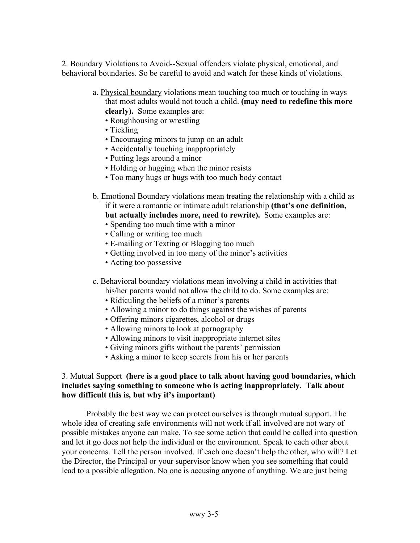2. Boundary Violations to Avoid--Sexual offenders violate physical, emotional, and behavioral boundaries. So be careful to avoid and watch for these kinds of violations.

- a. Physical boundary violations mean touching too much or touching in ways that most adults would not touch a child. **(may need to redefine this more clearly).** Some examples are:
	- Roughhousing or wrestling
	- Tickling
	- Encouraging minors to jump on an adult
	- Accidentally touching inappropriately
	- Putting legs around a minor
	- Holding or hugging when the minor resists
	- Too many hugs or hugs with too much body contact
- b. Emotional Boundary violations mean treating the relationship with a child as if it were a romantic or intimate adult relationship **(that's one definition, but actually includes more, need to rewrite).** Some examples are:
	- Spending too much time with a minor
	- Calling or writing too much
	- E-mailing or Texting or Blogging too much
	- Getting involved in too many of the minor's activities
	- Acting too possessive
- c. Behavioral boundary violations mean involving a child in activities that
	- his/her parents would not allow the child to do. Some examples are:
	- Ridiculing the beliefs of a minor's parents
	- Allowing a minor to do things against the wishes of parents
	- Offering minors cigarettes, alcohol or drugs
	- Allowing minors to look at pornography
	- Allowing minors to visit inappropriate internet sites
	- Giving minors gifts without the parents' permission
	- Asking a minor to keep secrets from his or her parents

#### 3. Mutual Support **(here is a good place to talk about having good boundaries, which includes saying something to someone who is acting inappropriately. Talk about how difficult this is, but why it's important)**

Probably the best way we can protect ourselves is through mutual support. The whole idea of creating safe environments will not work if all involved are not wary of possible mistakes anyone can make. To see some action that could be called into question and let it go does not help the individual or the environment. Speak to each other about your concerns. Tell the person involved. If each one doesn't help the other, who will? Let the Director, the Principal or your supervisor know when you see something that could lead to a possible allegation. No one is accusing anyone of anything. We are just being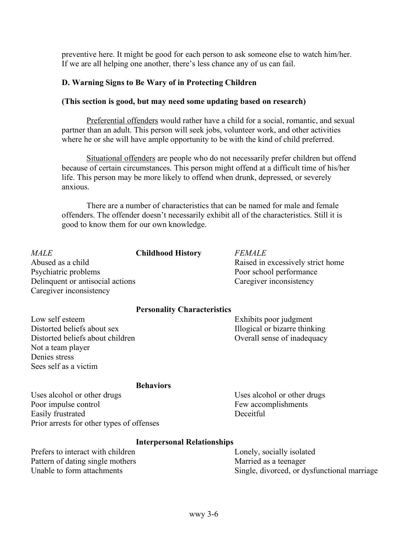preventive here. It might be good for each person to ask someone else to watch him/her. If we are all helping one another, there's less chance any of us can fail.

#### **D. Warning Signs to Be Wary of in Protecting Children**

#### **(This section is good, but may need some updating based on research)**

Preferential offenders would rather have a child for a social, romantic, and sexual partner than an adult. This person will seek jobs, volunteer work, and other activities where he or she will have ample opportunity to be with the kind of child preferred.

Situational offenders are people who do not necessarily prefer children but offend because of certain circumstances. This person might offend at a difficult time of his/her life. This person may be more likely to offend when drunk, depressed, or severely anxious.

There are a number of characteristics that can be named for male and female offenders. The offender doesn't necessarily exhibit all of the characteristics. Still it is good to know them for our own knowledge.

| <b>MALE</b><br>Abused as a child<br>Psychiatric problems<br>Delinquent or antisocial actions<br>Caregiver inconsistency                           | <b>Childhood History</b>           | <b>FEMALE</b><br>Raised in excessively strict home<br>Poor school performance<br>Caregiver inconsistency |
|---------------------------------------------------------------------------------------------------------------------------------------------------|------------------------------------|----------------------------------------------------------------------------------------------------------|
|                                                                                                                                                   | <b>Personality Characteristics</b> |                                                                                                          |
| Low self esteem<br>Distorted beliefs about sex<br>Distorted beliefs about children<br>Not a team player<br>Denies stress<br>Sees self as a victim |                                    | Exhibits poor judgment<br>Illogical or bizarre thinking<br>Overall sense of inadequacy                   |
| Uses alcohol or other drugs<br>Poor impulse control<br>Easily frustrated<br>Prior arrests for other types of offenses                             | <b>Behaviors</b>                   | Uses alcohol or other drugs<br>Few accomplishments<br>Deceitful                                          |
|                                                                                                                                                   | <b>Interpersonal Relationships</b> |                                                                                                          |
| Prefers to interact with children<br>Pattern of dating single mothers<br>Unable to form attachments                                               |                                    | Lonely, socially isolated<br>Married as a teenager<br>Single, divorced, or dysfunctional marriage        |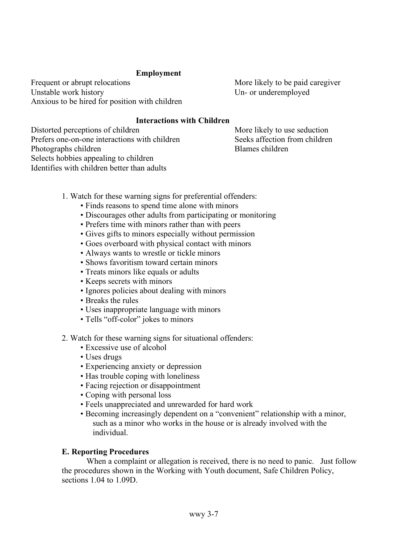#### **Employment**

Frequent or abrupt relocations More likely to be paid caregiver Unstable work history Un- or underemployed Anxious to be hired for position with children

#### **Interactions with Children**

Distorted perceptions of children More likely to use seduction Prefers one-on-one interactions with children Seeks affection from children Photographs children Blames children Selects hobbies appealing to children Identifies with children better than adults

- 1. Watch for these warning signs for preferential offenders:
	- Finds reasons to spend time alone with minors
	- Discourages other adults from participating or monitoring
	- Prefers time with minors rather than with peers
	- Gives gifts to minors especially without permission
	- Goes overboard with physical contact with minors
	- Always wants to wrestle or tickle minors
	- Shows favoritism toward certain minors
	- Treats minors like equals or adults
	- Keeps secrets with minors
	- Ignores policies about dealing with minors
	- Breaks the rules
	- Uses inappropriate language with minors
	- Tells "off-color" jokes to minors
- 2. Watch for these warning signs for situational offenders:
	- Excessive use of alcohol
	- Uses drugs
	- Experiencing anxiety or depression
	- Has trouble coping with loneliness
	- Facing rejection or disappointment
	- Coping with personal loss
	- Feels unappreciated and unrewarded for hard work
	- Becoming increasingly dependent on a "convenient" relationship with a minor, such as a minor who works in the house or is already involved with the individual.

#### **E. Reporting Procedures**

When a complaint or allegation is received, there is no need to panic. Just follow the procedures shown in the Working with Youth document, Safe Children Policy, sections 1.04 to 1.09D.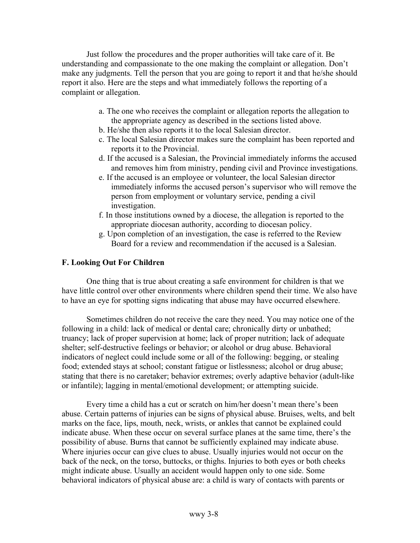Just follow the procedures and the proper authorities will take care of it. Be understanding and compassionate to the one making the complaint or allegation. Don't make any judgments. Tell the person that you are going to report it and that he/she should report it also. Here are the steps and what immediately follows the reporting of a complaint or allegation.

- a. The one who receives the complaint or allegation reports the allegation to the appropriate agency as described in the sections listed above.
- b. He/she then also reports it to the local Salesian director.
- c. The local Salesian director makes sure the complaint has been reported and reports it to the Provincial.
- d. If the accused is a Salesian, the Provincial immediately informs the accused and removes him from ministry, pending civil and Province investigations.
- e. If the accused is an employee or volunteer, the local Salesian director immediately informs the accused person's supervisor who will remove the person from employment or voluntary service, pending a civil investigation.
- f. In those institutions owned by a diocese, the allegation is reported to the appropriate diocesan authority, according to diocesan policy.
- g. Upon completion of an investigation, the case is referred to the Review Board for a review and recommendation if the accused is a Salesian.

#### **F. Looking Out For Children**

One thing that is true about creating a safe environment for children is that we have little control over other environments where children spend their time. We also have to have an eye for spotting signs indicating that abuse may have occurred elsewhere.

Sometimes children do not receive the care they need. You may notice one of the following in a child: lack of medical or dental care; chronically dirty or unbathed; truancy; lack of proper supervision at home; lack of proper nutrition; lack of adequate shelter; self-destructive feelings or behavior; or alcohol or drug abuse. Behavioral indicators of neglect could include some or all of the following: begging, or stealing food; extended stays at school; constant fatigue or listlessness; alcohol or drug abuse; stating that there is no caretaker; behavior extremes; overly adaptive behavior (adult-like or infantile); lagging in mental/emotional development; or attempting suicide.

Every time a child has a cut or scratch on him/her doesn't mean there's been abuse. Certain patterns of injuries can be signs of physical abuse. Bruises, welts, and belt marks on the face, lips, mouth, neck, wrists, or ankles that cannot be explained could indicate abuse. When these occur on several surface planes at the same time, there's the possibility of abuse. Burns that cannot be sufficiently explained may indicate abuse. Where injuries occur can give clues to abuse. Usually injuries would not occur on the back of the neck, on the torso, buttocks, or thighs. Injuries to both eyes or both cheeks might indicate abuse. Usually an accident would happen only to one side. Some behavioral indicators of physical abuse are: a child is wary of contacts with parents or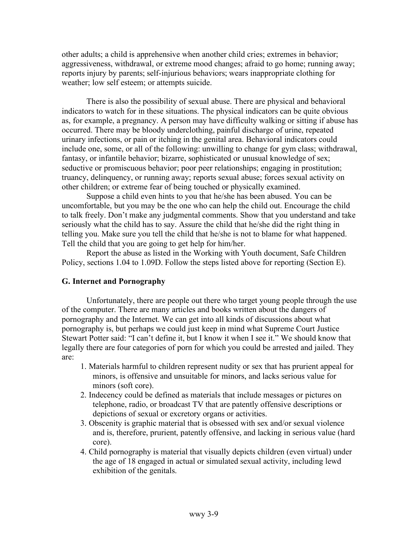other adults; a child is apprehensive when another child cries; extremes in behavior; aggressiveness, withdrawal, or extreme mood changes; afraid to go home; running away; reports injury by parents; self-injurious behaviors; wears inappropriate clothing for weather; low self esteem; or attempts suicide.

There is also the possibility of sexual abuse. There are physical and behavioral indicators to watch for in these situations. The physical indicators can be quite obvious as, for example, a pregnancy. A person may have difficulty walking or sitting if abuse has occurred. There may be bloody underclothing, painful discharge of urine, repeated urinary infections, or pain or itching in the genital area. Behavioral indicators could include one, some, or all of the following: unwilling to change for gym class; withdrawal, fantasy, or infantile behavior; bizarre, sophisticated or unusual knowledge of sex; seductive or promiscuous behavior; poor peer relationships; engaging in prostitution; truancy, delinquency, or running away; reports sexual abuse; forces sexual activity on other children; or extreme fear of being touched or physically examined.

Suppose a child even hints to you that he/she has been abused. You can be uncomfortable, but you may be the one who can help the child out. Encourage the child to talk freely. Don't make any judgmental comments. Show that you understand and take seriously what the child has to say. Assure the child that he/she did the right thing in telling you. Make sure you tell the child that he/she is not to blame for what happened. Tell the child that you are going to get help for him/her.

Report the abuse as listed in the Working with Youth document, Safe Children Policy, sections 1.04 to 1.09D. Follow the steps listed above for reporting (Section E).

#### **G. Internet and Pornography**

Unfortunately, there are people out there who target young people through the use of the computer. There are many articles and books written about the dangers of pornography and the Internet. We can get into all kinds of discussions about what pornography is, but perhaps we could just keep in mind what Supreme Court Justice Stewart Potter said: "I can't define it, but I know it when I see it." We should know that legally there are four categories of porn for which you could be arrested and jailed. They are:

- 1. Materials harmful to children represent nudity or sex that has prurient appeal for minors, is offensive and unsuitable for minors, and lacks serious value for minors (soft core).
- 2. Indecency could be defined as materials that include messages or pictures on telephone, radio, or broadcast TV that are patently offensive descriptions or depictions of sexual or excretory organs or activities.
- 3. Obscenity is graphic material that is obsessed with sex and/or sexual violence and is, therefore, prurient, patently offensive, and lacking in serious value (hard core).
- 4. Child pornography is material that visually depicts children (even virtual) under the age of 18 engaged in actual or simulated sexual activity, including lewd exhibition of the genitals.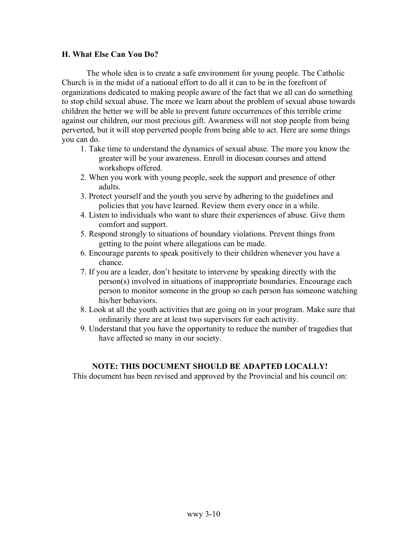#### **H. What Else Can You Do?**

The whole idea is to create a safe environment for young people. The Catholic Church is in the midst of a national effort to do all it can to be in the forefront of organizations dedicated to making people aware of the fact that we all can do something to stop child sexual abuse. The more we learn about the problem of sexual abuse towards children the better we will be able to prevent future occurrences of this terrible crime against our children, our most precious gift. Awareness will not stop people from being perverted, but it will stop perverted people from being able to act. Here are some things you can do.

- 1. Take time to understand the dynamics of sexual abuse. The more you know the greater will be your awareness. Enroll in diocesan courses and attend workshops offered.
- 2. When you work with young people, seek the support and presence of other adults.
- 3. Protect yourself and the youth you serve by adhering to the guidelines and policies that you have learned. Review them every once in a while.
- 4. Listen to individuals who want to share their experiences of abuse. Give them comfort and support.
- 5. Respond strongly to situations of boundary violations. Prevent things from getting to the point where allegations can be made.
- 6. Encourage parents to speak positively to their children whenever you have a chance.
- 7. If you are a leader, don't hesitate to intervene by speaking directly with the person(s) involved in situations of inappropriate boundaries. Encourage each person to monitor someone in the group so each person has someone watching his/her behaviors.
- 8. Look at all the youth activities that are going on in your program. Make sure that ordinarily there are at least two supervisors for each activity.
- 9. Understand that you have the opportunity to reduce the number of tragedies that have affected so many in our society.

#### **NOTE: THIS DOCUMENT SHOULD BE ADAPTED LOCALLY!**

This document has been revised and approved by the Provincial and his council on: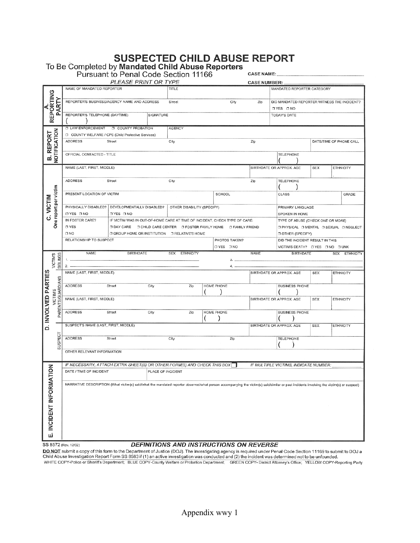# **SUSPECTED CHILD ABUSE REPORT**<br>To Be Completed by Mandated Child Abuse Reporters<br>Pursuant to Penal Code Section 11166

| Pursuant to Penal Code Section 11166 |  |
|--------------------------------------|--|
|--------------------------------------|--|

|                     |                       |                                                                                                                                                                                          | PLEASE PRINT OR TYPE      |                   |                                               |  |                                                                            | <b>CASE NUMBER:</b> |                                             |            |  |                         |
|---------------------|-----------------------|------------------------------------------------------------------------------------------------------------------------------------------------------------------------------------------|---------------------------|-------------------|-----------------------------------------------|--|----------------------------------------------------------------------------|---------------------|---------------------------------------------|------------|--|-------------------------|
|                     |                       | NAME OF MANDATED REPORTER                                                                                                                                                                |                           |                   | TITLE                                         |  |                                                                            |                     | MANDATED REPORTER CATEGORY                  |            |  |                         |
| REPORTING           | PARTY                 | REPORTER'S BUSINESS/AGENCY NAME AND ADDRESS                                                                                                                                              |                           |                   | Street<br>City<br>Zip                         |  |                                                                            | <b>OYES ONO</b>     | DID MANDATED REPORTER WITNESS THE INCIDENT? |            |  |                         |
|                     |                       | REPORTER'S TELEPHONE (DAYTIME)<br>SIGNATURE                                                                                                                                              |                           |                   |                                               |  |                                                                            |                     | TODAY'S DATE                                |            |  |                         |
|                     |                       | <b>J LAW ENFORCEMENT J COUNTY PROBATION</b>                                                                                                                                              |                           |                   | <b>AGENCY</b>                                 |  |                                                                            |                     |                                             |            |  |                         |
|                     |                       | COUNTY WELFARE / CPS (Child Protective Services)                                                                                                                                         |                           |                   |                                               |  |                                                                            |                     |                                             |            |  |                         |
| <b>REPORT</b>       | NOTIFICATION          | <b>ADDRESS</b>                                                                                                                                                                           | Street                    |                   | City                                          |  |                                                                            | Zip                 |                                             |            |  | DATE/TIME OF PHONE CALL |
| മ                   |                       | OFFICIAL CONTACTED - TITLE                                                                                                                                                               |                           |                   |                                               |  |                                                                            |                     | TELEPHONE                                   |            |  |                         |
|                     |                       | NAME (LAST, FIRST, MIDDLE)                                                                                                                                                               |                           |                   |                                               |  |                                                                            |                     | BIRTHDATE OR APPROX. AGE                    | <b>SEX</b> |  | <b>ETHNICITY</b>        |
|                     |                       | <b>ADDRESS</b>                                                                                                                                                                           | Street                    |                   | City                                          |  |                                                                            | Zip                 | TELEPHONE                                   |            |  |                         |
| C. VICTIM           | One report per victim | PRESENT LOCATION OF VICTIM                                                                                                                                                               |                           |                   |                                               |  | SCHOOL                                                                     |                     | CLASS                                       |            |  | GRADE                   |
|                     |                       | PHYSICALLY DISABLED?                                                                                                                                                                     | DEVELOPMENTALLY DISABLED? |                   | OTHER DISABILITY (SPECIFY)                    |  |                                                                            |                     | PRIMARY LANGUAGE                            |            |  |                         |
|                     |                       | <b>DYES ONO</b>                                                                                                                                                                          | <b>OYES ONO</b>           |                   |                                               |  |                                                                            |                     | SPOKEN IN HOME                              |            |  |                         |
|                     |                       | IN FOSTER CARE?                                                                                                                                                                          |                           |                   |                                               |  | IF VICTIM WAS IN OUT-OF-HOME CARE AT TIME OF INCIDENT, CHECK TYPE OF CARE: |                     | TYPE OF ABUSE (CHECK ONE OR MORE)           |            |  |                         |
|                     |                       | <b>O</b> YES                                                                                                                                                                             | <b>O DAY CARE</b>         |                   |                                               |  | J CHILD CARE CENTER J FOSTER FAMILY HOME J FAMILY FRIEND                   |                     | O PHYSICAL O MENTAL O SEXUAL O NEGLECT      |            |  |                         |
|                     |                       | OND                                                                                                                                                                                      |                           |                   | O GROUP HOME OR INSTITUTION J RELATIVE'S HOME |  |                                                                            |                     | <b>O OTHER (SPECIFY)</b>                    |            |  |                         |
|                     |                       | RELATIONSHIP TO SUSPECT                                                                                                                                                                  |                           |                   |                                               |  | PHOTOS TAKEN?                                                              |                     | DID THE INCIDENT RESULT IN THIS             |            |  |                         |
|                     |                       | <b>NAME</b>                                                                                                                                                                              |                           |                   | <b>SEX</b><br><b>ETHNICITY</b>                |  | OYES JNO                                                                   | <b>NAME</b>         | VICTIM'S DEATH? DYES ONO OUNK               |            |  | SEX ETHNICITY           |
|                     | <b>VICTIM'S</b>       | <b>BIRTHDATE</b><br><b>BIRTHDATE</b><br>SIBLINGS<br>3.                                                                                                                                   |                           |                   |                                               |  |                                                                            |                     |                                             |            |  |                         |
|                     |                       |                                                                                                                                                                                          |                           |                   |                                               |  | 4.1                                                                        |                     |                                             |            |  |                         |
|                     |                       | NAME (LAST, FIRST, MIDDLE)                                                                                                                                                               |                           |                   |                                               |  |                                                                            |                     | BIRTHDATE OR APPROX. AGE                    | SEX        |  | <b>ETHNICITY</b>        |
| D. INVOLVED PARTIE: | PARENTS/GUARDIANS     | <b>ADDRESS</b>                                                                                                                                                                           | Street                    | City              | Zip                                           |  | HOME PHONE                                                                 |                     | <b>BUSINESS PHONE</b>                       |            |  |                         |
|                     | VICTIM'S              | NAME (LAST, FIRST, MIDDLE)                                                                                                                                                               |                           |                   |                                               |  |                                                                            |                     | BIRTHDATE OR APPROX. AGE                    | SEX        |  | <b>ETHNICITY</b>        |
|                     |                       | <b>ADDRESS</b>                                                                                                                                                                           | <b>Street</b>             | City              | Zip                                           |  | HOME PHONE                                                                 |                     | <b>BUSINESS PHONE</b>                       |            |  |                         |
|                     |                       |                                                                                                                                                                                          |                           |                   |                                               |  |                                                                            |                     |                                             |            |  |                         |
|                     |                       | SUSPECT'S NAME (LAST, FIRST, MIDDLE)                                                                                                                                                     |                           |                   |                                               |  |                                                                            |                     | BIRTHDATE OR APPROX. AGE                    | <b>SEX</b> |  | <b>ETHNICITY</b>        |
|                     | <b>SUSPEC</b>         | ADDRESS                                                                                                                                                                                  | Street                    |                   | City                                          |  | Zip                                                                        |                     | <b>TELEPHONE</b>                            |            |  |                         |
|                     |                       | OTHER RELEVANT INFORMATION                                                                                                                                                               |                           |                   |                                               |  |                                                                            |                     |                                             |            |  |                         |
|                     |                       | IF NECESSARY, ATTACH EXTRA SHEET(S) OR OTHER FORM(S) AND CHECK THIS BOX                                                                                                                  |                           |                   |                                               |  |                                                                            |                     | IF MULTIPLE VICTIMS, INDICATE NUMBER:       |            |  |                         |
| MATION              |                       | DATE / TIME OF INCIDENT                                                                                                                                                                  |                           | PLACE OF INCIDENT |                                               |  |                                                                            |                     |                                             |            |  |                         |
|                     |                       | NARRATIVE DESCRIPTION (What victim(s) said/what the mandated reporter observed/what person accompanying the victim(s) said/similar or past incidents involving the victim(s) or suspect) |                           |                   |                                               |  |                                                                            |                     |                                             |            |  |                         |
| E. INCIDENT INFOR   |                       |                                                                                                                                                                                          |                           |                   |                                               |  |                                                                            |                     |                                             |            |  |                         |
|                     |                       |                                                                                                                                                                                          |                           |                   |                                               |  |                                                                            |                     |                                             |            |  |                         |
|                     |                       |                                                                                                                                                                                          |                           |                   |                                               |  |                                                                            |                     |                                             |            |  |                         |
|                     |                       | SS 8572 (Rev. 12/02)                                                                                                                                                                     |                           |                   |                                               |  | <b>DEFINITIONS AND INSTRUCTIONS ON REVERSE</b>                             |                     |                                             |            |  |                         |

DO NOT submit a copy of this form to the Department of Justice (DOJ). The investigating agency is required under Penal Code Section 11169 to submit to DOJ a<br>Child Abuse Investigation Report Form SS 8583 if (1) an active in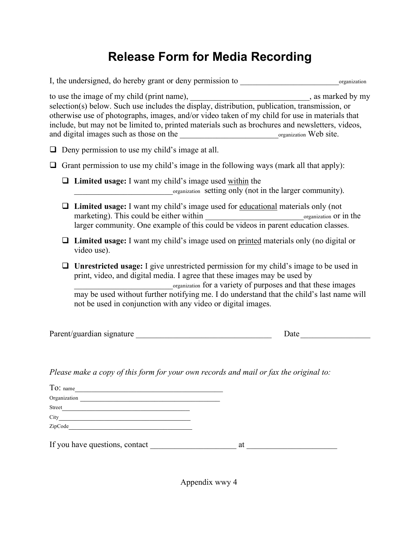## **Release Form for Media Recording**

|                                                                                                          |                                                                                                                                                                                                                                                                                                                       | I, the undersigned, do hereby grant or deny permission to resource to reganization                                                                                                                                                                                                                                                                                                              |  |  |  |  |
|----------------------------------------------------------------------------------------------------------|-----------------------------------------------------------------------------------------------------------------------------------------------------------------------------------------------------------------------------------------------------------------------------------------------------------------------|-------------------------------------------------------------------------------------------------------------------------------------------------------------------------------------------------------------------------------------------------------------------------------------------------------------------------------------------------------------------------------------------------|--|--|--|--|
|                                                                                                          |                                                                                                                                                                                                                                                                                                                       | to use the image of my child (print name), as marked by my<br>selection(s) below. Such use includes the display, distribution, publication, transmission, or<br>otherwise use of photographs, images, and/or video taken of my child for use in materials that<br>include, but may not be limited to, printed materials such as brochures and newsletters, videos,                              |  |  |  |  |
|                                                                                                          |                                                                                                                                                                                                                                                                                                                       | $\Box$ Deny permission to use my child's image at all.                                                                                                                                                                                                                                                                                                                                          |  |  |  |  |
|                                                                                                          |                                                                                                                                                                                                                                                                                                                       | $\Box$ Grant permission to use my child's image in the following ways (mark all that apply):                                                                                                                                                                                                                                                                                                    |  |  |  |  |
|                                                                                                          | $\Box$ Limited usage: I want my child's image used within the<br>organization setting only (not in the larger community).                                                                                                                                                                                             |                                                                                                                                                                                                                                                                                                                                                                                                 |  |  |  |  |
|                                                                                                          | <b>Limited usage:</b> I want my child's image used for <u>educational</u> materials only (not<br>❏<br>marketing). This could be either within<br>organization Or in the<br>marketing). This could be either within subsetion of in larger community. One example of this could be videos in parent education classes. |                                                                                                                                                                                                                                                                                                                                                                                                 |  |  |  |  |
| Limited usage: I want my child's image used on printed materials only (no digital or<br>⊔<br>video use). |                                                                                                                                                                                                                                                                                                                       |                                                                                                                                                                                                                                                                                                                                                                                                 |  |  |  |  |
|                                                                                                          |                                                                                                                                                                                                                                                                                                                       | Unrestricted usage: I give unrestricted permission for my child's image to be used in<br>print, video, and digital media. I agree that these images may be used by<br>organization for a variety of purposes and that these images<br>may be used without further notifying me. I do understand that the child's last name will<br>not be used in conjunction with any video or digital images. |  |  |  |  |
|                                                                                                          |                                                                                                                                                                                                                                                                                                                       | $Date$ <sub>____</sub>                                                                                                                                                                                                                                                                                                                                                                          |  |  |  |  |
|                                                                                                          | To: name                                                                                                                                                                                                                                                                                                              | Please make a copy of this form for your own records and mail or fax the original to:                                                                                                                                                                                                                                                                                                           |  |  |  |  |
|                                                                                                          |                                                                                                                                                                                                                                                                                                                       |                                                                                                                                                                                                                                                                                                                                                                                                 |  |  |  |  |
|                                                                                                          |                                                                                                                                                                                                                                                                                                                       |                                                                                                                                                                                                                                                                                                                                                                                                 |  |  |  |  |
|                                                                                                          |                                                                                                                                                                                                                                                                                                                       | ZipCode 200                                                                                                                                                                                                                                                                                                                                                                                     |  |  |  |  |
|                                                                                                          |                                                                                                                                                                                                                                                                                                                       | If you have questions, contact<br>at                                                                                                                                                                                                                                                                                                                                                            |  |  |  |  |

Appendix wwy 4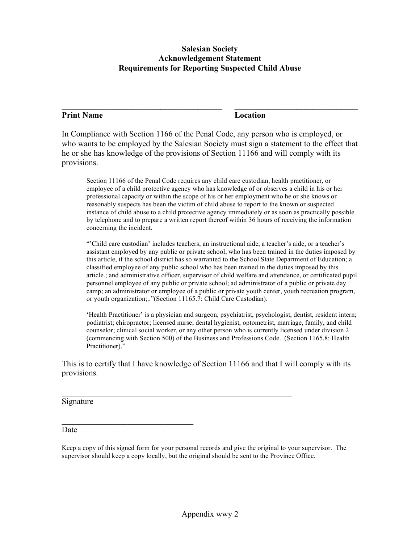#### **Salesian Society Acknowledgement Statement Requirements for Reporting Suspected Child Abuse**

#### **Print Name Location**

In Compliance with Section 1166 of the Penal Code, any person who is employed, or who wants to be employed by the Salesian Society must sign a statement to the effect that he or she has knowledge of the provisions of Section 11166 and will comply with its provisions.

**\_\_\_\_\_\_\_\_\_\_\_\_\_\_\_\_\_\_\_\_\_\_\_\_\_\_\_\_\_\_\_\_\_\_\_\_\_\_\_ \_\_\_\_\_\_\_\_\_\_\_\_\_\_\_\_\_\_\_\_\_\_\_\_\_\_\_\_\_\_** 

Section 11166 of the Penal Code requires any child care custodian, health practitioner, or employee of a child protective agency who has knowledge of or observes a child in his or her professional capacity or within the scope of his or her employment who he or she knows or reasonably suspects has been the victim of child abuse to report to the known or suspected instance of child abuse to a child protective agency immediately or as soon as practically possible by telephone and to prepare a written report thereof within 36 hours of receiving the information concerning the incident.

"'Child care custodian' includes teachers; an instructional aide, a teacher's aide, or a teacher's assistant employed by any public or private school, who has been trained in the duties imposed by this article, if the school district has so warranted to the School State Department of Education; a classified employee of any public school who has been trained in the duties imposed by this article.; and administrative officer, supervisor of child welfare and attendance, or certificated pupil personnel employee of any public or private school; ad administrator of a public or private day camp; an administrator or employee of a public or private youth center, youth recreation program, or youth organization;.."(Section 11165.7: Child Care Custodian).

'Health Practitioner' is a physician and surgeon, psychiatrist, psychologist, dentist, resident intern; podiatrist; chiropractor; licensed nurse; dental hygienist, optometrist, marriage, family, and child counselor; clinical social worker, or any other person who is currently licensed under division 2 (commencing with Section 500) of the Business and Professions Code. (Section 1165.8: Health Practitioner)."

This is to certify that I have knowledge of Section 11166 and that I will comply with its provisions.

 $\mathcal{L}_\text{max}$  , and the contract of the contract of the contract of the contract of the contract of the contract of

#### Signature

 $\mathcal{L}_\text{max}$ 

Date

Keep a copy of this signed form for your personal records and give the original to your supervisor. The supervisor should keep a copy locally, but the original should be sent to the Province Office.